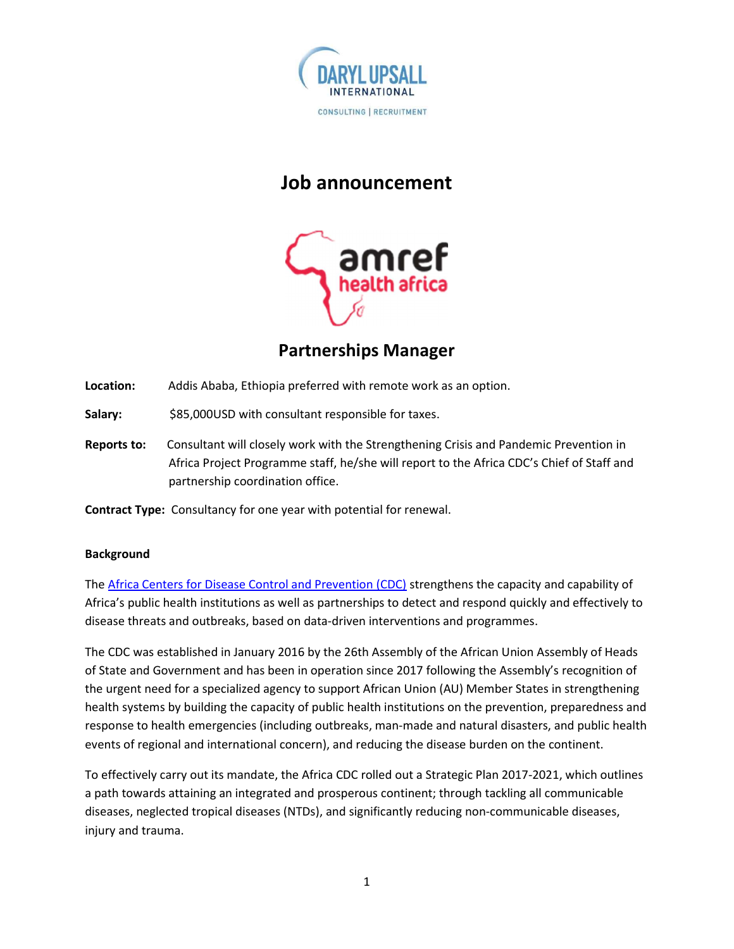

# Job announcement



# Partnerships Manager

Location: Addis Ababa, Ethiopia preferred with remote work as an option.

Salary: \$85,000USD with consultant responsible for taxes.

Reports to: Consultant will closely work with the Strengthening Crisis and Pandemic Prevention in Africa Project Programme staff, he/she will report to the Africa CDC's Chief of Staff and partnership coordination office.

Contract Type: Consultancy for one year with potential for renewal.

## Background

The Africa Centers for Disease Control and Prevention (CDC) strengthens the capacity and capability of Africa's public health institutions as well as partnerships to detect and respond quickly and effectively to disease threats and outbreaks, based on data-driven interventions and programmes.

The CDC was established in January 2016 by the 26th Assembly of the African Union Assembly of Heads of State and Government and has been in operation since 2017 following the Assembly's recognition of the urgent need for a specialized agency to support African Union (AU) Member States in strengthening health systems by building the capacity of public health institutions on the prevention, preparedness and response to health emergencies (including outbreaks, man-made and natural disasters, and public health events of regional and international concern), and reducing the disease burden on the continent.

To effectively carry out its mandate, the Africa CDC rolled out a Strategic Plan 2017-2021, which outlines a path towards attaining an integrated and prosperous continent; through tackling all communicable diseases, neglected tropical diseases (NTDs), and significantly reducing non-communicable diseases, injury and trauma.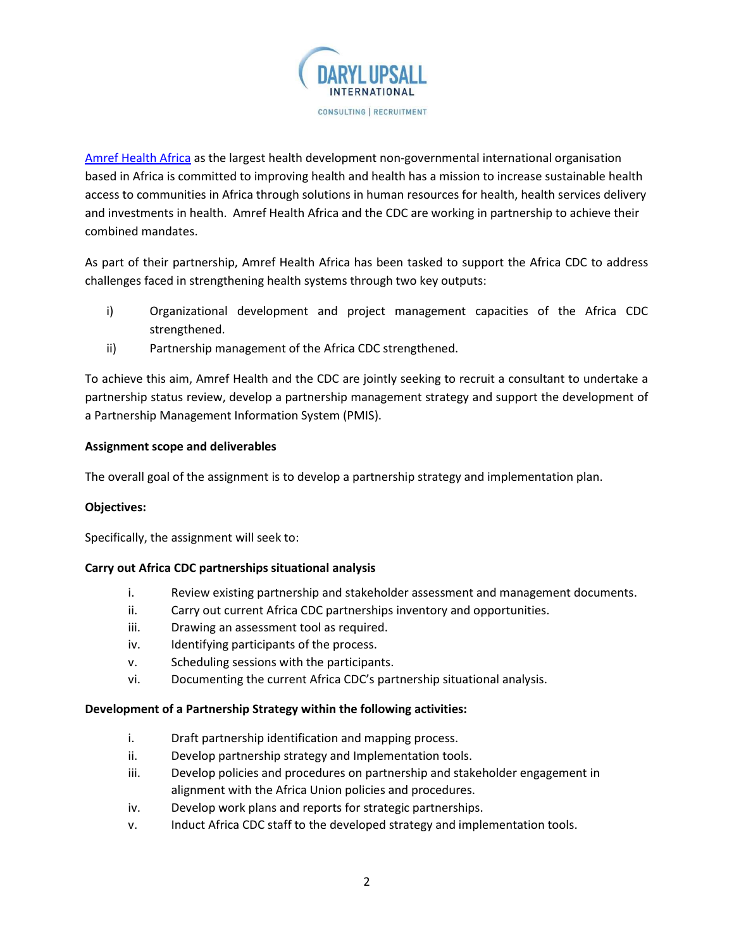

Amref Health Africa as the largest health development non-governmental international organisation based in Africa is committed to improving health and health has a mission to increase sustainable health access to communities in Africa through solutions in human resources for health, health services delivery and investments in health. Amref Health Africa and the CDC are working in partnership to achieve their combined mandates.

As part of their partnership, Amref Health Africa has been tasked to support the Africa CDC to address challenges faced in strengthening health systems through two key outputs:

- i) Organizational development and project management capacities of the Africa CDC strengthened.
- ii) Partnership management of the Africa CDC strengthened.

To achieve this aim, Amref Health and the CDC are jointly seeking to recruit a consultant to undertake a partnership status review, develop a partnership management strategy and support the development of a Partnership Management Information System (PMIS).

### Assignment scope and deliverables

The overall goal of the assignment is to develop a partnership strategy and implementation plan.

#### Objectives:

Specifically, the assignment will seek to:

#### Carry out Africa CDC partnerships situational analysis

- i. Review existing partnership and stakeholder assessment and management documents.
- ii. Carry out current Africa CDC partnerships inventory and opportunities.
- iii. Drawing an assessment tool as required.
- iv. Identifying participants of the process.
- v. Scheduling sessions with the participants.
- vi. Documenting the current Africa CDC's partnership situational analysis.

#### Development of a Partnership Strategy within the following activities:

- i. Draft partnership identification and mapping process.
- ii. Develop partnership strategy and Implementation tools.
- iii. Develop policies and procedures on partnership and stakeholder engagement in alignment with the Africa Union policies and procedures.
- iv. Develop work plans and reports for strategic partnerships.
- v. Induct Africa CDC staff to the developed strategy and implementation tools.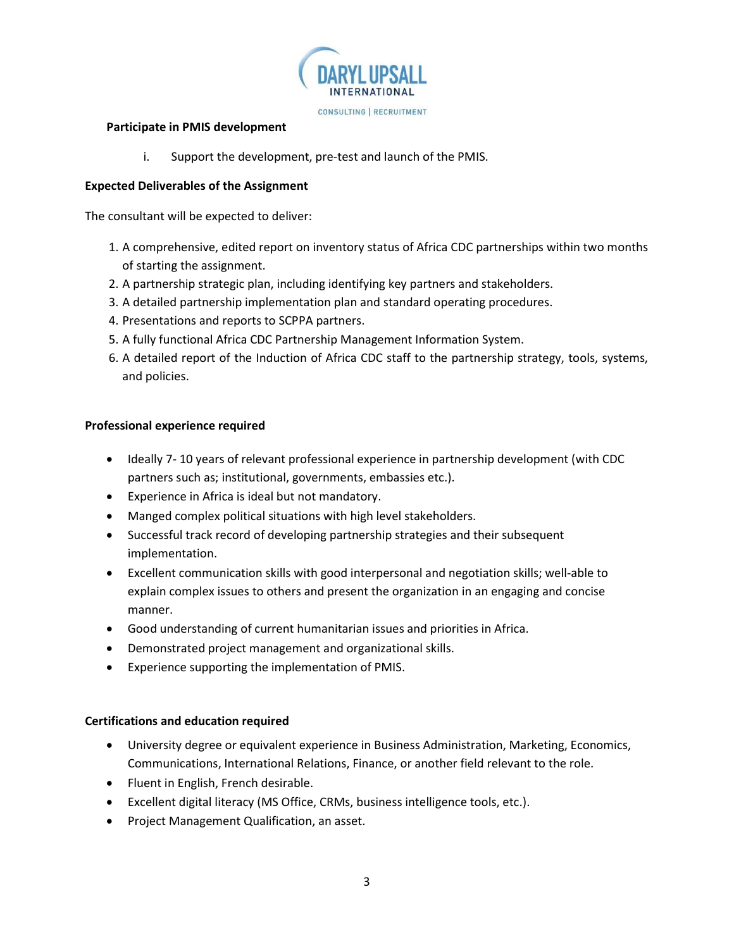

#### Participate in PMIS development

i. Support the development, pre-test and launch of the PMIS.

#### Expected Deliverables of the Assignment

The consultant will be expected to deliver:

- 1. A comprehensive, edited report on inventory status of Africa CDC partnerships within two months of starting the assignment.
- 2. A partnership strategic plan, including identifying key partners and stakeholders.
- 3. A detailed partnership implementation plan and standard operating procedures.
- 4. Presentations and reports to SCPPA partners.
- 5. A fully functional Africa CDC Partnership Management Information System.
- 6. A detailed report of the Induction of Africa CDC staff to the partnership strategy, tools, systems, and policies.

#### Professional experience required

- Ideally 7- 10 years of relevant professional experience in partnership development (with CDC partners such as; institutional, governments, embassies etc.).
- Experience in Africa is ideal but not mandatory.
- Manged complex political situations with high level stakeholders.
- Successful track record of developing partnership strategies and their subsequent implementation.
- Excellent communication skills with good interpersonal and negotiation skills; well-able to explain complex issues to others and present the organization in an engaging and concise manner.
- Good understanding of current humanitarian issues and priorities in Africa.
- Demonstrated project management and organizational skills.
- Experience supporting the implementation of PMIS.

#### Certifications and education required

- University degree or equivalent experience in Business Administration, Marketing, Economics, Communications, International Relations, Finance, or another field relevant to the role.
- Fluent in English, French desirable.
- Excellent digital literacy (MS Office, CRMs, business intelligence tools, etc.).
- Project Management Qualification, an asset.